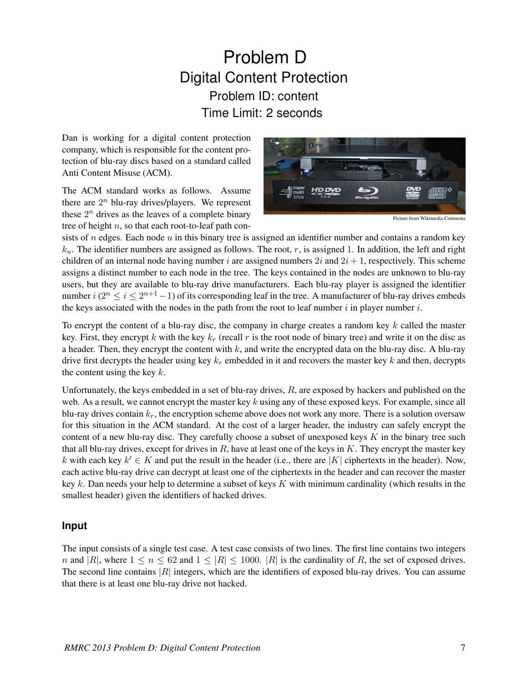## Problem D Digital Content Protection Problem ID: content Time Limit: 2 seconds

Dan is working for a digital content protection company, which is responsible for the content protection of blu-ray discs based on a standard called Anti Content Misuse (ACM).

The ACM standard works as follows. Assume there are  $2^n$  blu-ray drives/players. We represent these  $2^n$  drives as the leaves of a complete binary tree of height  $n$ , so that each root-to-leaf path con-



Picture from Wikimedia Commons

sists of  $n$  edges. Each node  $u$  in this binary tree is assigned an identifier number and contains a random key  $k_u$ . The identifier numbers are assigned as follows. The root, r, is assigned 1. In addition, the left and right children of an internal node having number i are assigned numbers  $2i$  and  $2i + 1$ , respectively. This scheme assigns a distinct number to each node in the tree. The keys contained in the nodes are unknown to blu-ray users, but they are available to blu-ray drive manufacturers. Each blu-ray player is assigned the identifier number  $i$  ( $2^n \le i \le 2^{n+1}-1$ ) of its corresponding leaf in the tree. A manufacturer of blu-ray drives embeds the keys associated with the nodes in the path from the root to leaf number  $i$  in player number  $i$ .

To encrypt the content of a blu-ray disc, the company in charge creates a random key  $k$  called the master key. First, they encrypt k with the key  $k_r$  (recall r is the root node of binary tree) and write it on the disc as a header. Then, they encrypt the content with  $k$ , and write the encrypted data on the blu-ray disc. A blu-ray drive first decrypts the header using key  $k_r$  embedded in it and recovers the master key k and then, decrypts the content using the key  $k$ .

Unfortunately, the keys embedded in a set of blu-ray drives,  $R$ , are exposed by hackers and published on the web. As a result, we cannot encrypt the master key  $k$  using any of these exposed keys. For example, since all blu-ray drives contain  $k_r$ , the encryption scheme above does not work any more. There is a solution oversaw for this situation in the ACM standard. At the cost of a larger header, the industry can safely encrypt the content of a new blu-ray disc. They carefully choose a subset of unexposed keys  $K$  in the binary tree such that all blu-ray drives, except for drives in  $R$ , have at least one of the keys in  $K$ . They encrypt the master key k with each key  $k' \in K$  and put the result in the header (i.e., there are |K| ciphertexts in the header). Now, each active blu-ray drive can decrypt at least one of the ciphertexts in the header and can recover the master key  $k$ . Dan needs your help to determine a subset of keys  $K$  with minimum cardinality (which results in the smallest header) given the identifiers of hacked drives.

## **Input**

The input consists of a single test case. A test case consists of two lines. The first line contains two integers n and |R|, where  $1 \le n \le 62$  and  $1 \le |R| \le 1000$ . |R| is the cardinality of R, the set of exposed drives. The second line contains  $|R|$  integers, which are the identifiers of exposed blu-ray drives. You can assume that there is at least one blu-ray drive not hacked.